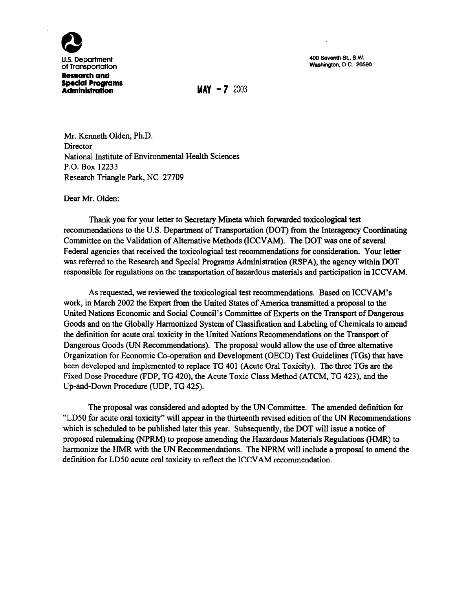

400 Seventh St., S.W. Washington, D.C. 20590

**Administration MAY -7** *<sup>2003</sup>*

Mr. Kenneth Olden, Ph.D. Director National Institute of Environmental Health Sciences P.O. Box 12233 Research Triangle Park, NC 27709

Dear Mr. Olden:

Thank you for your letter to Secretary Mineta which forwarded toxicological test recommendations to the U.S. Department of Transportation (DOT) from the Interagency Coordinating Committee on the Validation of Alternative Methods (ICCVAM). The DOT was one of several Federal agencies that received the toxicological test recommendations for consideration. Your letter was referred to the Research and Special Programs Administration (RSPA), the agency within DOT responsible for regulations on the transportation of hazardous materials and participation in ICCVAM.

As requested, we reviewed the toxicological test recommendations. Based on ICCVAM's work, in March 2002 the Expert from the United States of America transmitted a proposal to the United Nations Economic and Social Council's Committee of Experts on the Transport of Dangerous Goods and on the Globally Harmonized System of Classification and Labeling of Chemicals to amend the definition for acute oral toxicity in the United Nations Recommendations on the Transport of Dangerous Goods (UN Recommendations). The proposal would allow the use of three alternative Organization for Economic Co-operation and Development (OECD) Test Guidelines (TGs) that have been developed and implemented to replace TG 401 (Acute Oral Toxicity). The three TGs are the Fixed Dose Procedure (FDP, TG 420), the Acute Toxic Class Method (ATCM, TG 423), and the Up-and-Down Procedure (UDP, TG 425).

The proposal was considered and adopted by the UN Committee. The amended definition for "LD50 for acute oral toxicity" will appear in the thirteenth revised edition of the UN Recommendations which is scheduled to be published later this year. Subsequently, the DOT will issue a notice of proposed rulemaking (NPRM) to propose amending the Hazardous Materials Regulations (HMR) to harmonize the HMR with the UN Recommendations. The NPRM will include a proposal to amend the definition for LDSO acute oral toxicity to reflect the ICCV AM recommendation.